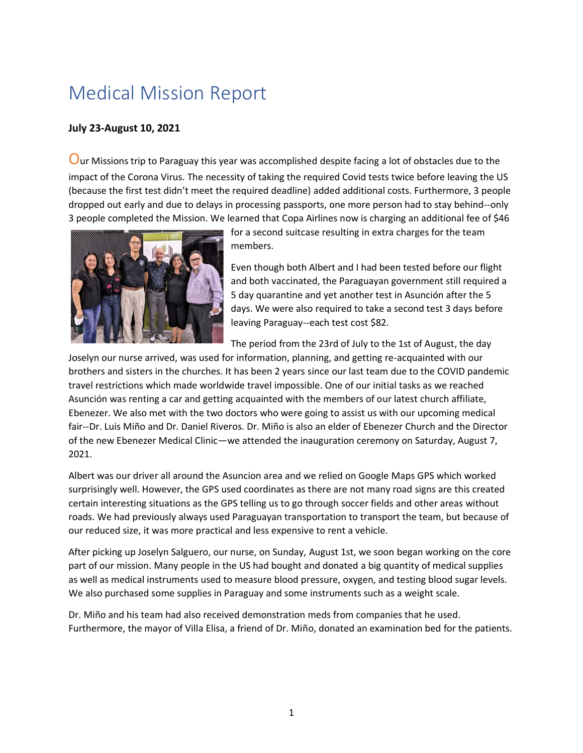## Medical Mission Report

## **July 23-August 10, 2021**

Our Missions trip to Paraguay this year was accomplished despite facing a lot of obstacles due to the impact of the Corona Virus. The necessity of taking the required Covid tests twice before leaving the US (because the first test didn't meet the required deadline) added additional costs. Furthermore, 3 people dropped out early and due to delays in processing passports, one more person had to stay behind--only 3 people completed the Mission. We learned that Copa Airlines now is charging an additional fee of \$46



for a second suitcase resulting in extra charges for the team members.

Even though both Albert and I had been tested before our flight and both vaccinated, the Paraguayan government still required a 5 day quarantine and yet another test in Asunción after the 5 days. We were also required to take a second test 3 days before leaving Paraguay--each test cost \$82.

The period from the 23rd of July to the 1st of August, the day

Joselyn our nurse arrived, was used for information, planning, and getting re-acquainted with our brothers and sisters in the churches. It has been 2 years since our last team due to the COVID pandemic travel restrictions which made worldwide travel impossible. One of our initial tasks as we reached Asunción was renting a car and getting acquainted with the members of our latest church affiliate, Ebenezer. We also met with the two doctors who were going to assist us with our upcoming medical fair--Dr. Luis Miño and Dr. Daniel Riveros. Dr. Miño is also an elder of Ebenezer Church and the Director of the new Ebenezer Medical Clinic—we attended the inauguration ceremony on Saturday, August 7, 2021.

Albert was our driver all around the Asuncion area and we relied on Google Maps GPS which worked surprisingly well. However, the GPS used coordinates as there are not many road signs are this created certain interesting situations as the GPS telling us to go through soccer fields and other areas without roads. We had previously always used Paraguayan transportation to transport the team, but because of our reduced size, it was more practical and less expensive to rent a vehicle.

After picking up Joselyn Salguero, our nurse, on Sunday, August 1st, we soon began working on the core part of our mission. Many people in the US had bought and donated a big quantity of medical supplies as well as medical instruments used to measure blood pressure, oxygen, and testing blood sugar levels. We also purchased some supplies in Paraguay and some instruments such as a weight scale.

Dr. Miño and his team had also received demonstration meds from companies that he used. Furthermore, the mayor of Villa Elisa, a friend of Dr. Miño, donated an examination bed for the patients.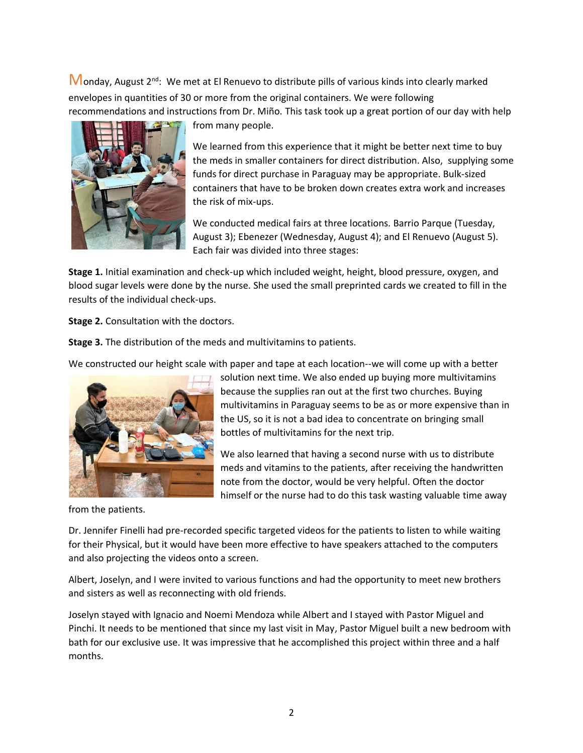$M$ onday, August 2<sup>nd</sup>: We met at El Renuevo to distribute pills of various kinds into clearly marked envelopes in quantities of 30 or more from the original containers. We were following recommendations and instructions from Dr. Miño. This task took up a great portion of our day with help



from many people.

We learned from this experience that it might be better next time to buy the meds in smaller containers for direct distribution. Also, supplying some funds for direct purchase in Paraguay may be appropriate. Bulk-sized containers that have to be broken down creates extra work and increases the risk of mix-ups.

We conducted medical fairs at three locations. Barrio Parque (Tuesday, August 3); Ebenezer (Wednesday, August 4); and El Renuevo (August 5). Each fair was divided into three stages:

**Stage 1.** Initial examination and check-up which included weight, height, blood pressure, oxygen, and blood sugar levels were done by the nurse. She used the small preprinted cards we created to fill in the results of the individual check-ups.

**Stage 2.** Consultation with the doctors.

**Stage 3.** The distribution of the meds and multivitamins to patients.

We constructed our height scale with paper and tape at each location--we will come up with a better solution next time. We also ended up buying more multivitamins

because the supplies ran out at the first two churches. Buying multivitamins in Paraguay seems to be as or more expensive than in the US, so it is not a bad idea to concentrate on bringing small bottles of multivitamins for the next trip.

We also learned that having a second nurse with us to distribute meds and vitamins to the patients, after receiving the handwritten note from the doctor, would be very helpful. Often the doctor himself or the nurse had to do this task wasting valuable time away

from the patients.

Dr. Jennifer Finelli had pre-recorded specific targeted videos for the patients to listen to while waiting for their Physical, but it would have been more effective to have speakers attached to the computers and also projecting the videos onto a screen.

Albert, Joselyn, and I were invited to various functions and had the opportunity to meet new brothers and sisters as well as reconnecting with old friends.

Joselyn stayed with Ignacio and Noemi Mendoza while Albert and I stayed with Pastor Miguel and Pinchi. It needs to be mentioned that since my last visit in May, Pastor Miguel built a new bedroom with bath for our exclusive use. It was impressive that he accomplished this project within three and a half months.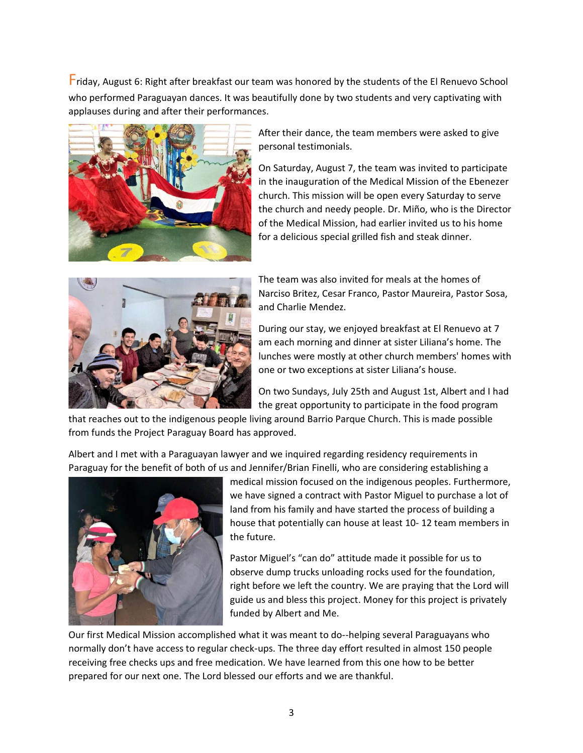Friday, August 6: Right after breakfast our team was honored by the students of the El Renuevo School who performed Paraguayan dances. It was beautifully done by two students and very captivating with applauses during and after their performances.



After their dance, the team members were asked to give personal testimonials.

On Saturday, August 7, the team was invited to participate in the inauguration of the Medical Mission of the Ebenezer church. This mission will be open every Saturday to serve the church and needy people. Dr. Miño, who is the Director of the Medical Mission, had earlier invited us to his home for a delicious special grilled fish and steak dinner.



The team was also invited for meals at the homes of Narciso Britez, Cesar Franco, Pastor Maureira, Pastor Sosa, and Charlie Mendez.

During our stay, we enjoyed breakfast at El Renuevo at 7 am each morning and dinner at sister Liliana's home. The lunches were mostly at other church members' homes with one or two exceptions at sister Liliana's house.

On two Sundays, July 25th and August 1st, Albert and I had the great opportunity to participate in the food program

that reaches out to the indigenous people living around Barrio Parque Church. This is made possible from funds the Project Paraguay Board has approved.

Albert and I met with a Paraguayan lawyer and we inquired regarding residency requirements in Paraguay for the benefit of both of us and Jennifer/Brian Finelli, who are considering establishing a



medical mission focused on the indigenous peoples. Furthermore, we have signed a contract with Pastor Miguel to purchase a lot of land from his family and have started the process of building a house that potentially can house at least 10- 12 team members in the future.

Pastor Miguel's "can do" attitude made it possible for us to observe dump trucks unloading rocks used for the foundation, right before we left the country. We are praying that the Lord will guide us and bless this project. Money for this project is privately funded by Albert and Me.

Our first Medical Mission accomplished what it was meant to do--helping several Paraguayans who normally don't have access to regular check-ups. The three day effort resulted in almost 150 people receiving free checks ups and free medication. We have learned from this one how to be better prepared for our next one. The Lord blessed our efforts and we are thankful.